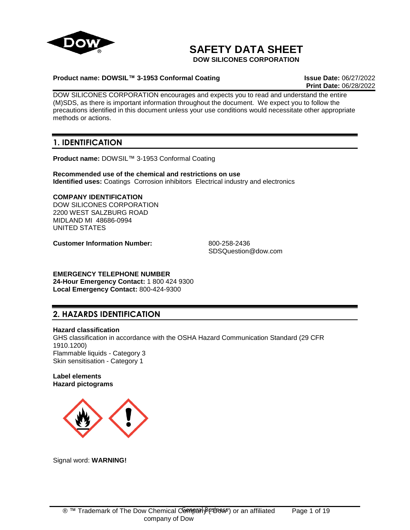

# **SAFETY DATA SHEET**

**DOW SILICONES CORPORATION**

## **Product name: DOWSIL™ 3-1953 Conformal Coating Issue Date:** 06/27/2022

**Print Date:** 06/28/2022

DOW SILICONES CORPORATION encourages and expects you to read and understand the entire (M)SDS, as there is important information throughout the document. We expect you to follow the precautions identified in this document unless your use conditions would necessitate other appropriate methods or actions.

## **1. IDENTIFICATION**

**Product name:** DOWSIL™ 3-1953 Conformal Coating

**Recommended use of the chemical and restrictions on use Identified uses:** Coatings Corrosion inhibitors Electrical industry and electronics

# **COMPANY IDENTIFICATION**

DOW SILICONES CORPORATION 2200 WEST SALZBURG ROAD MIDLAND MI 48686-0994 UNITED STATES

**Customer Information Number:** 800-258-2436

SDSQuestion@dow.com

**EMERGENCY TELEPHONE NUMBER 24-Hour Emergency Contact:** 1 800 424 9300 **Local Emergency Contact:** 800-424-9300

## **2. HAZARDS IDENTIFICATION**

**Hazard classification**

GHS classification in accordance with the OSHA Hazard Communication Standard (29 CFR 1910.1200) Flammable liquids - Category 3 Skin sensitisation - Category 1

## **Label elements Hazard pictograms**



Signal word: **WARNING!**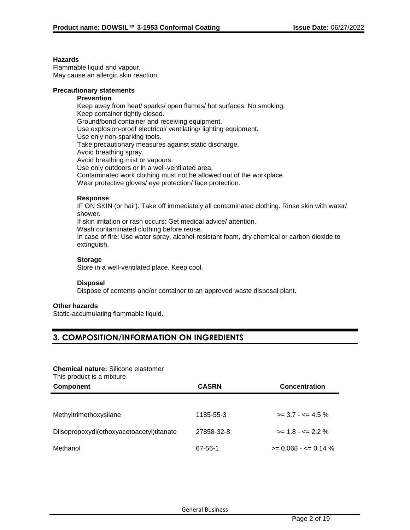#### **Hazards**

Flammable liquid and vapour. May cause an allergic skin reaction.

## **Precautionary statements**

## **Prevention**

Keep away from heat/ sparks/ open flames/ hot surfaces. No smoking. Keep container tightly closed. Ground/bond container and receiving equipment. Use explosion-proof electrical/ ventilating/ lighting equipment. Use only non-sparking tools. Take precautionary measures against static discharge. Avoid breathing spray. Avoid breathing mist or vapours. Use only outdoors or in a well-ventilated area. Contaminated work clothing must not be allowed out of the workplace. Wear protective gloves/ eye protection/ face protection.

## **Response**

IF ON SKIN (or hair): Take off immediately all contaminated clothing. Rinse skin with water/ shower.

If skin irritation or rash occurs: Get medical advice/ attention.

Wash contaminated clothing before reuse.

In case of fire: Use water spray, alcohol-resistant foam, dry chemical or carbon dioxide to extinguish.

## **Storage**

Store in a well-ventilated place. Keep cool.

### **Disposal**

Dispose of contents and/or container to an approved waste disposal plant.

## **Other hazards**

Static-accumulating flammable liquid.

## **3. COMPOSITION/INFORMATION ON INGREDIENTS**

## **Chemical nature:** Silicone elastomer

This product is a mixture.

| <b>THIS PROGGOT IS A HIRT CITY</b><br><b>Component</b> | <b>CASRN</b> | <b>Concentration</b>    |
|--------------------------------------------------------|--------------|-------------------------|
|                                                        |              |                         |
| Methyltrimethoxysilane                                 | 1185-55-3    | $>= 3.7 - 5.4.5 \%$     |
| Diisopropoxydi(ethoxyacetoacetyl)titanate              | 27858-32-8   | $>= 1.8 - \le 2.2 \%$   |
| Methanol                                               | 67-56-1      | $>= 0.068 - \le 0.14\%$ |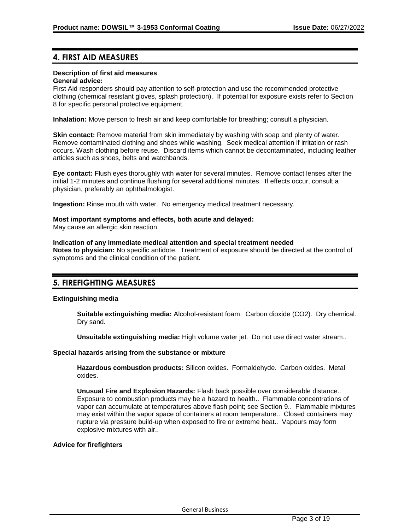## **4. FIRST AID MEASURES**

## **Description of first aid measures**

## **General advice:**

First Aid responders should pay attention to self-protection and use the recommended protective clothing (chemical resistant gloves, splash protection). If potential for exposure exists refer to Section 8 for specific personal protective equipment.

**Inhalation:** Move person to fresh air and keep comfortable for breathing; consult a physician.

**Skin contact:** Remove material from skin immediately by washing with soap and plenty of water. Remove contaminated clothing and shoes while washing. Seek medical attention if irritation or rash occurs. Wash clothing before reuse. Discard items which cannot be decontaminated, including leather articles such as shoes, belts and watchbands.

**Eye contact:** Flush eyes thoroughly with water for several minutes. Remove contact lenses after the initial 1-2 minutes and continue flushing for several additional minutes. If effects occur, consult a physician, preferably an ophthalmologist.

**Ingestion:** Rinse mouth with water. No emergency medical treatment necessary.

## **Most important symptoms and effects, both acute and delayed:**

May cause an allergic skin reaction.

## **Indication of any immediate medical attention and special treatment needed**

**Notes to physician:** No specific antidote. Treatment of exposure should be directed at the control of symptoms and the clinical condition of the patient.

## **5. FIREFIGHTING MEASURES**

### **Extinguishing media**

**Suitable extinguishing media:** Alcohol-resistant foam. Carbon dioxide (CO2). Dry chemical. Dry sand.

**Unsuitable extinguishing media:** High volume water jet. Do not use direct water stream..

#### **Special hazards arising from the substance or mixture**

**Hazardous combustion products:** Silicon oxides. Formaldehyde. Carbon oxides. Metal oxides.

**Unusual Fire and Explosion Hazards:** Flash back possible over considerable distance.. Exposure to combustion products may be a hazard to health.. Flammable concentrations of vapor can accumulate at temperatures above flash point; see Section 9.. Flammable mixtures may exist within the vapor space of containers at room temperature.. Closed containers may rupture via pressure build-up when exposed to fire or extreme heat.. Vapours may form explosive mixtures with air..

## **Advice for firefighters**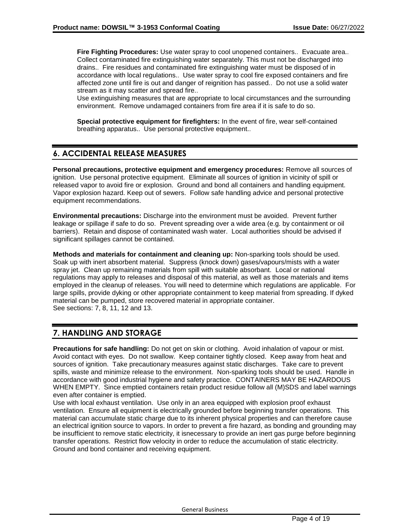**Fire Fighting Procedures:** Use water spray to cool unopened containers.. Evacuate area.. Collect contaminated fire extinguishing water separately. This must not be discharged into drains.. Fire residues and contaminated fire extinguishing water must be disposed of in accordance with local regulations.. Use water spray to cool fire exposed containers and fire affected zone until fire is out and danger of reignition has passed.. Do not use a solid water stream as it may scatter and spread fire..

Use extinguishing measures that are appropriate to local circumstances and the surrounding environment. Remove undamaged containers from fire area if it is safe to do so.

**Special protective equipment for firefighters:** In the event of fire, wear self-contained breathing apparatus.. Use personal protective equipment..

## **6. ACCIDENTAL RELEASE MEASURES**

**Personal precautions, protective equipment and emergency procedures:** Remove all sources of ignition. Use personal protective equipment. Eliminate all sources of ignition in vicinity of spill or released vapor to avoid fire or explosion. Ground and bond all containers and handling equipment. Vapor explosion hazard. Keep out of sewers. Follow safe handling advice and personal protective equipment recommendations.

**Environmental precautions:** Discharge into the environment must be avoided. Prevent further leakage or spillage if safe to do so. Prevent spreading over a wide area (e.g. by containment or oil barriers). Retain and dispose of contaminated wash water. Local authorities should be advised if significant spillages cannot be contained.

**Methods and materials for containment and cleaning up:** Non-sparking tools should be used. Soak up with inert absorbent material. Suppress (knock down) gases/vapours/mists with a water spray jet. Clean up remaining materials from spill with suitable absorbant. Local or national regulations may apply to releases and disposal of this material, as well as those materials and items employed in the cleanup of releases. You will need to determine which regulations are applicable. For large spills, provide dyking or other appropriate containment to keep material from spreading. If dyked material can be pumped, store recovered material in appropriate container. See sections: 7, 8, 11, 12 and 13.

## **7. HANDLING AND STORAGE**

**Precautions for safe handling:** Do not get on skin or clothing. Avoid inhalation of vapour or mist. Avoid contact with eyes. Do not swallow. Keep container tightly closed. Keep away from heat and sources of ignition. Take precautionary measures against static discharges. Take care to prevent spills, waste and minimize release to the environment. Non-sparking tools should be used. Handle in accordance with good industrial hygiene and safety practice. CONTAINERS MAY BE HAZARDOUS WHEN EMPTY. Since emptied containers retain product residue follow all (M)SDS and label warnings even after container is emptied.

Use with local exhaust ventilation. Use only in an area equipped with explosion proof exhaust ventilation. Ensure all equipment is electrically grounded before beginning transfer operations. This material can accumulate static charge due to its inherent physical properties and can therefore cause an electrical ignition source to vapors. In order to prevent a fire hazard, as bonding and grounding may be insufficient to remove static electricity, it isnecessary to provide an inert gas purge before beginning transfer operations. Restrict flow velocity in order to reduce the accumulation of static electricity. Ground and bond container and receiving equipment.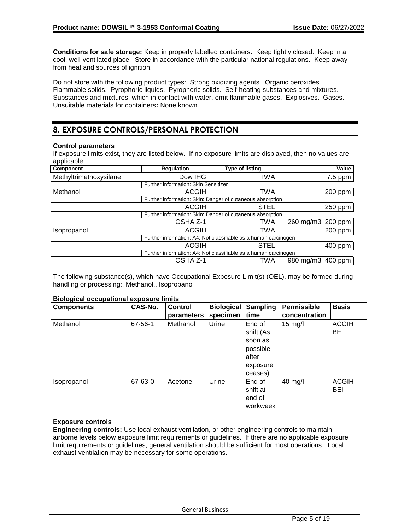**Conditions for safe storage:** Keep in properly labelled containers. Keep tightly closed. Keep in a cool, well-ventilated place. Store in accordance with the particular national regulations. Keep away from heat and sources of ignition.

Do not store with the following product types: Strong oxidizing agents. Organic peroxides. Flammable solids. Pyrophoric liquids. Pyrophoric solids. Self-heating substances and mixtures. Substances and mixtures, which in contact with water, emit flammable gases. Explosives. Gases. Unsuitable materials for containers**:** None known.

## **8. EXPOSURE CONTROLS/PERSONAL PROTECTION**

## **Control parameters**

If exposure limits exist, they are listed below. If no exposure limits are displayed, then no values are applicable.

| Component              | Regulation                                                      | <b>Type of listing</b> | Value             |
|------------------------|-----------------------------------------------------------------|------------------------|-------------------|
| Methyltrimethoxysilane | Dow IHG                                                         | TWA                    | $7.5$ ppm         |
|                        | Further information: Skin Sensitizer                            |                        |                   |
| Methanol               | ACGIH                                                           | TWA                    | 200 ppm           |
|                        | Further information: Skin: Danger of cutaneous absorption       |                        |                   |
|                        | <b>ACGIH</b>                                                    | STEL                   | 250 ppm           |
|                        | Further information: Skin: Danger of cutaneous absorption       |                        |                   |
|                        | OSHA Z-1                                                        | TWA                    | 260 mg/m3 200 ppm |
| Isopropanol            | <b>ACGIH</b>                                                    | TWA                    | 200 ppm           |
|                        | Further information: A4: Not classifiable as a human carcinogen |                        |                   |
|                        | <b>ACGIH</b>                                                    | <b>STEL</b>            | 400 ppm           |
|                        | Further information: A4: Not classifiable as a human carcinogen |                        |                   |
|                        | OSHA Z-1                                                        | TWA                    | 980 mg/m3 400 ppm |

The following substance(s), which have Occupational Exposure Limit(s) (OEL), may be formed during handling or processing:, Methanol., Isopropanol

### **Biological occupational exposure limits**

| <b>Components</b> | CAS-No. | <b>Control</b><br>parameters | <b>Biological</b><br>specimen | <b>Sampling</b><br>time                             | Permissible<br>concentration | <b>Basis</b>        |
|-------------------|---------|------------------------------|-------------------------------|-----------------------------------------------------|------------------------------|---------------------|
| Methanol          | 67-56-1 | Methanol                     | Urine                         | End of<br>shift (As                                 | $15 \text{ mg/l}$            | <b>ACGIH</b><br>BEI |
|                   |         |                              |                               | soon as<br>possible<br>after<br>exposure<br>ceases) |                              |                     |
| Isopropanol       | 67-63-0 | Acetone                      | Urine                         | End of<br>shift at<br>end of<br>workweek            | $40$ mg/l                    | <b>ACGIH</b><br>BEI |

## **Exposure controls**

**Engineering controls:** Use local exhaust ventilation, or other engineering controls to maintain airborne levels below exposure limit requirements or guidelines. If there are no applicable exposure limit requirements or guidelines, general ventilation should be sufficient for most operations. Local exhaust ventilation may be necessary for some operations.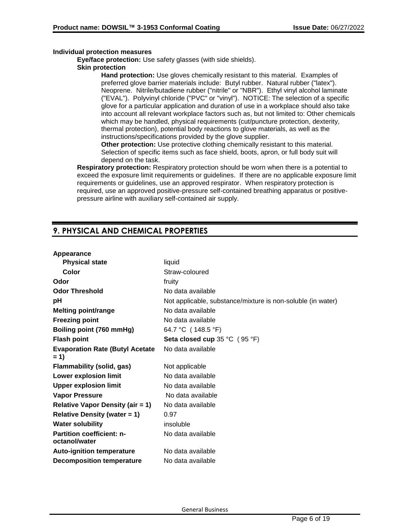## **Individual protection measures**

**Eye/face protection:** Use safety glasses (with side shields).

## **Skin protection**

**Hand protection:** Use gloves chemically resistant to this material. Examples of preferred glove barrier materials include: Butyl rubber. Natural rubber ("latex"). Neoprene. Nitrile/butadiene rubber ("nitrile" or "NBR"). Ethyl vinyl alcohol laminate ("EVAL"). Polyvinyl chloride ("PVC" or "vinyl"). NOTICE: The selection of a specific glove for a particular application and duration of use in a workplace should also take into account all relevant workplace factors such as, but not limited to: Other chemicals which may be handled, physical requirements (cut/puncture protection, dexterity, thermal protection), potential body reactions to glove materials, as well as the instructions/specifications provided by the glove supplier.

**Other protection:** Use protective clothing chemically resistant to this material. Selection of specific items such as face shield, boots, apron, or full body suit will depend on the task.

**Respiratory protection:** Respiratory protection should be worn when there is a potential to exceed the exposure limit requirements or guidelines. If there are no applicable exposure limit requirements or guidelines, use an approved respirator. When respiratory protection is required, use an approved positive-pressure self-contained breathing apparatus or positivepressure airline with auxiliary self-contained air supply.

## **9. PHYSICAL AND CHEMICAL PROPERTIES**

### **Appearance**

| liquid                                                      |
|-------------------------------------------------------------|
| Straw-coloured                                              |
| fruity                                                      |
| No data available                                           |
| Not applicable, substance/mixture is non-soluble (in water) |
| No data available                                           |
| No data available                                           |
| 64.7 °C (148.5 °F)                                          |
| Seta closed cup 35 °C (95 °F)                               |
| No data available                                           |
| Not applicable                                              |
| No data available                                           |
| No data available                                           |
| No data available                                           |
| No data available                                           |
| 0.97                                                        |
| insoluble                                                   |
| No data available                                           |
| No data available                                           |
| No data available                                           |
|                                                             |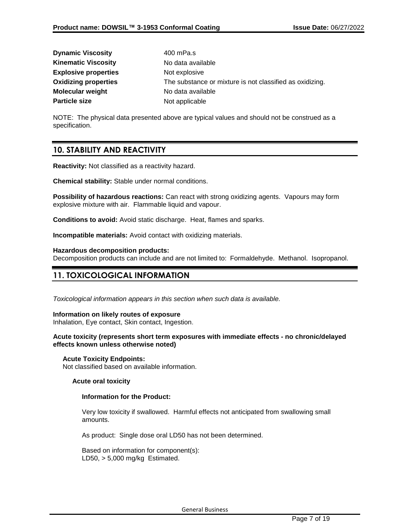| <b>Dynamic Viscosity</b>    | 400 mPa.s                                                |
|-----------------------------|----------------------------------------------------------|
| <b>Kinematic Viscosity</b>  | No data available                                        |
| <b>Explosive properties</b> | Not explosive                                            |
| <b>Oxidizing properties</b> | The substance or mixture is not classified as oxidizing. |
| <b>Molecular weight</b>     | No data available                                        |
| <b>Particle size</b>        | Not applicable                                           |

NOTE: The physical data presented above are typical values and should not be construed as a specification.

## **10. STABILITY AND REACTIVITY**

**Reactivity:** Not classified as a reactivity hazard.

**Chemical stability:** Stable under normal conditions.

**Possibility of hazardous reactions:** Can react with strong oxidizing agents. Vapours may form explosive mixture with air. Flammable liquid and vapour.

**Conditions to avoid:** Avoid static discharge. Heat, flames and sparks.

**Incompatible materials:** Avoid contact with oxidizing materials.

#### **Hazardous decomposition products:**

Decomposition products can include and are not limited to: Formaldehyde. Methanol. Isopropanol.

## **11. TOXICOLOGICAL INFORMATION**

*Toxicological information appears in this section when such data is available.*

#### **Information on likely routes of exposure**

Inhalation, Eye contact, Skin contact, Ingestion.

## **Acute toxicity (represents short term exposures with immediate effects - no chronic/delayed effects known unless otherwise noted)**

### **Acute Toxicity Endpoints:**

Not classified based on available information.

### **Acute oral toxicity**

### **Information for the Product:**

Very low toxicity if swallowed. Harmful effects not anticipated from swallowing small amounts.

As product: Single dose oral LD50 has not been determined.

Based on information for component(s): LD50, > 5,000 mg/kg Estimated.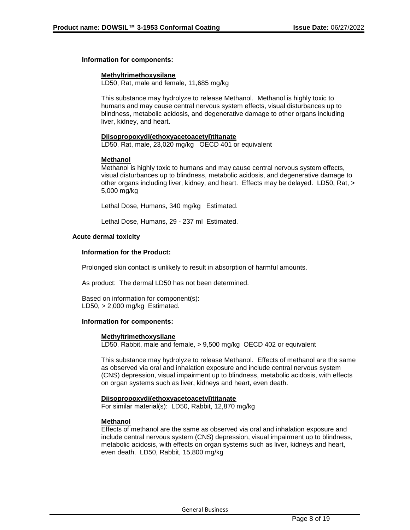### **Information for components:**

#### **Methyltrimethoxysilane**

LD50, Rat, male and female, 11,685 mg/kg

This substance may hydrolyze to release Methanol. Methanol is highly toxic to humans and may cause central nervous system effects, visual disturbances up to blindness, metabolic acidosis, and degenerative damage to other organs including liver, kidney, and heart.

#### **Diisopropoxydi(ethoxyacetoacetyl)titanate**

LD50, Rat, male, 23,020 mg/kg OECD 401 or equivalent

## **Methanol**

Methanol is highly toxic to humans and may cause central nervous system effects, visual disturbances up to blindness, metabolic acidosis, and degenerative damage to other organs including liver, kidney, and heart. Effects may be delayed. LD50, Rat, > 5,000 mg/kg

Lethal Dose, Humans, 340 mg/kg Estimated.

Lethal Dose, Humans, 29 - 237 ml Estimated.

### **Acute dermal toxicity**

#### **Information for the Product:**

Prolonged skin contact is unlikely to result in absorption of harmful amounts.

As product: The dermal LD50 has not been determined.

Based on information for component(s): LD50, > 2,000 mg/kg Estimated.

### **Information for components:**

#### **Methyltrimethoxysilane**

LD50, Rabbit, male and female, > 9,500 mg/kg OECD 402 or equivalent

This substance may hydrolyze to release Methanol. Effects of methanol are the same as observed via oral and inhalation exposure and include central nervous system (CNS) depression, visual impairment up to blindness, metabolic acidosis, with effects on organ systems such as liver, kidneys and heart, even death.

#### **Diisopropoxydi(ethoxyacetoacetyl)titanate**

For similar material(s): LD50, Rabbit, 12,870 mg/kg

### **Methanol**

Effects of methanol are the same as observed via oral and inhalation exposure and include central nervous system (CNS) depression, visual impairment up to blindness, metabolic acidosis, with effects on organ systems such as liver, kidneys and heart, even death. LD50, Rabbit, 15,800 mg/kg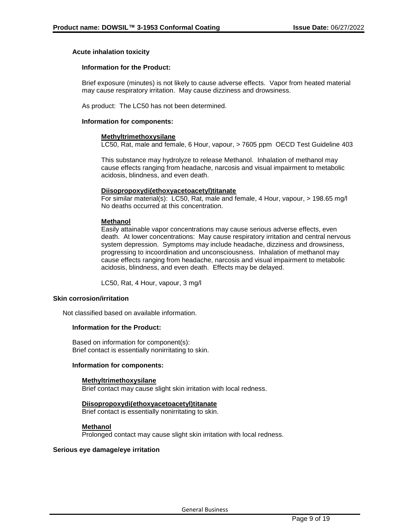## **Acute inhalation toxicity**

#### **Information for the Product:**

Brief exposure (minutes) is not likely to cause adverse effects. Vapor from heated material may cause respiratory irritation. May cause dizziness and drowsiness.

As product: The LC50 has not been determined.

#### **Information for components:**

#### **Methyltrimethoxysilane**

LC50, Rat, male and female, 6 Hour, vapour, > 7605 ppm OECD Test Guideline 403

This substance may hydrolyze to release Methanol. Inhalation of methanol may cause effects ranging from headache, narcosis and visual impairment to metabolic acidosis, blindness, and even death.

#### **Diisopropoxydi(ethoxyacetoacetyl)titanate**

For similar material(s): LC50, Rat, male and female, 4 Hour, vapour, > 198.65 mg/l No deaths occurred at this concentration.

#### **Methanol**

Easily attainable vapor concentrations may cause serious adverse effects, even death. At lower concentrations: May cause respiratory irritation and central nervous system depression. Symptoms may include headache, dizziness and drowsiness, progressing to incoordination and unconsciousness. Inhalation of methanol may cause effects ranging from headache, narcosis and visual impairment to metabolic acidosis, blindness, and even death. Effects may be delayed.

LC50, Rat, 4 Hour, vapour, 3 mg/l

#### **Skin corrosion/irritation**

Not classified based on available information.

## **Information for the Product:**

Based on information for component(s): Brief contact is essentially nonirritating to skin.

#### **Information for components:**

#### **Methyltrimethoxysilane**

Brief contact may cause slight skin irritation with local redness.

## **Diisopropoxydi(ethoxyacetoacetyl)titanate**

Brief contact is essentially nonirritating to skin.

### **Methanol**

Prolonged contact may cause slight skin irritation with local redness.

### **Serious eye damage/eye irritation**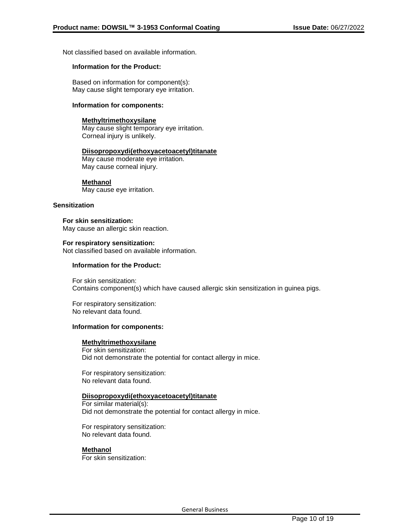Not classified based on available information.

## **Information for the Product:**

Based on information for component(s): May cause slight temporary eye irritation.

### **Information for components:**

#### **Methyltrimethoxysilane**

May cause slight temporary eye irritation. Corneal injury is unlikely.

#### **Diisopropoxydi(ethoxyacetoacetyl)titanate**

May cause moderate eye irritation. May cause corneal injury.

### **Methanol**

May cause eye irritation.

#### **Sensitization**

**For skin sensitization:** May cause an allergic skin reaction.

## **For respiratory sensitization:**

Not classified based on available information.

## **Information for the Product:**

For skin sensitization: Contains component(s) which have caused allergic skin sensitization in guinea pigs.

For respiratory sensitization: No relevant data found.

#### **Information for components:**

## **Methyltrimethoxysilane**

For skin sensitization: Did not demonstrate the potential for contact allergy in mice.

For respiratory sensitization: No relevant data found.

### **Diisopropoxydi(ethoxyacetoacetyl)titanate**

For similar material(s): Did not demonstrate the potential for contact allergy in mice.

For respiratory sensitization: No relevant data found.

### **Methanol**

For skin sensitization: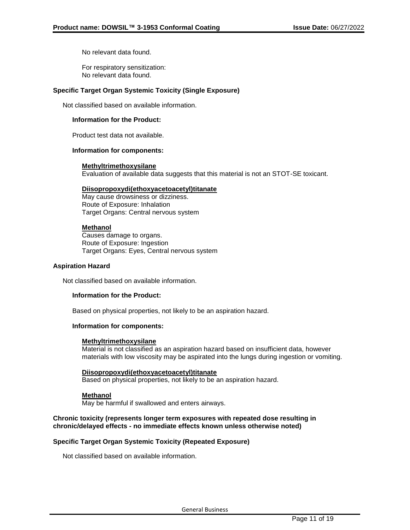No relevant data found.

For respiratory sensitization: No relevant data found.

## **Specific Target Organ Systemic Toxicity (Single Exposure)**

Not classified based on available information.

## **Information for the Product:**

Product test data not available.

#### **Information for components:**

#### **Methyltrimethoxysilane**

Evaluation of available data suggests that this material is not an STOT-SE toxicant.

#### **Diisopropoxydi(ethoxyacetoacetyl)titanate**

May cause drowsiness or dizziness. Route of Exposure: Inhalation Target Organs: Central nervous system

### **Methanol**

Causes damage to organs. Route of Exposure: Ingestion Target Organs: Eyes, Central nervous system

#### **Aspiration Hazard**

Not classified based on available information.

### **Information for the Product:**

Based on physical properties, not likely to be an aspiration hazard.

### **Information for components:**

### **Methyltrimethoxysilane**

Material is not classified as an aspiration hazard based on insufficient data, however materials with low viscosity may be aspirated into the lungs during ingestion or vomiting.

### **Diisopropoxydi(ethoxyacetoacetyl)titanate**

Based on physical properties, not likely to be an aspiration hazard.

### **Methanol**

May be harmful if swallowed and enters airways.

## **Chronic toxicity (represents longer term exposures with repeated dose resulting in chronic/delayed effects - no immediate effects known unless otherwise noted)**

### **Specific Target Organ Systemic Toxicity (Repeated Exposure)**

Not classified based on available information.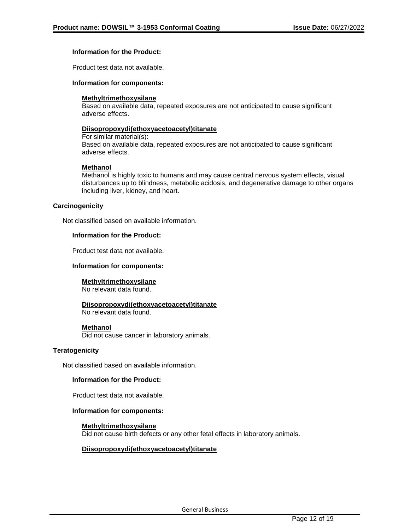## **Information for the Product:**

Product test data not available.

#### **Information for components:**

#### **Methyltrimethoxysilane**

Based on available data, repeated exposures are not anticipated to cause significant adverse effects.

#### **Diisopropoxydi(ethoxyacetoacetyl)titanate**

For similar material(s): Based on available data, repeated exposures are not anticipated to cause significant adverse effects.

#### **Methanol**

Methanol is highly toxic to humans and may cause central nervous system effects, visual disturbances up to blindness, metabolic acidosis, and degenerative damage to other organs including liver, kidney, and heart.

#### **Carcinogenicity**

Not classified based on available information.

#### **Information for the Product:**

Product test data not available.

#### **Information for components:**

#### **Methyltrimethoxysilane**

No relevant data found.

### **Diisopropoxydi(ethoxyacetoacetyl)titanate**

No relevant data found.

#### **Methanol**

Did not cause cancer in laboratory animals.

### **Teratogenicity**

Not classified based on available information.

#### **Information for the Product:**

Product test data not available.

#### **Information for components:**

#### **Methyltrimethoxysilane**

Did not cause birth defects or any other fetal effects in laboratory animals.

### **Diisopropoxydi(ethoxyacetoacetyl)titanate**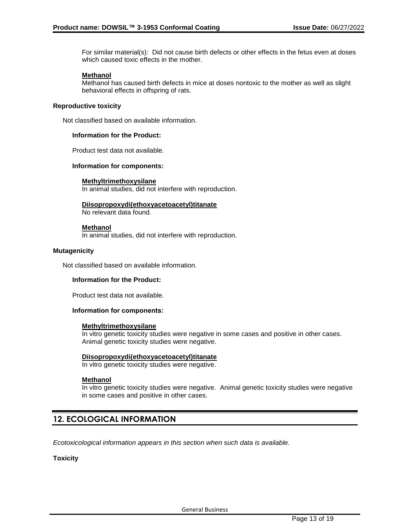For similar material(s): Did not cause birth defects or other effects in the fetus even at doses which caused toxic effects in the mother.

#### **Methanol**

Methanol has caused birth defects in mice at doses nontoxic to the mother as well as slight behavioral effects in offspring of rats.

#### **Reproductive toxicity**

Not classified based on available information.

#### **Information for the Product:**

Product test data not available.

#### **Information for components:**

#### **Methyltrimethoxysilane**

In animal studies, did not interfere with reproduction.

## **Diisopropoxydi(ethoxyacetoacetyl)titanate**

No relevant data found.

#### **Methanol**

In animal studies, did not interfere with reproduction.

### **Mutagenicity**

Not classified based on available information.

## **Information for the Product:**

Product test data not available.

### **Information for components:**

#### **Methyltrimethoxysilane**

In vitro genetic toxicity studies were negative in some cases and positive in other cases. Animal genetic toxicity studies were negative.

#### **Diisopropoxydi(ethoxyacetoacetyl)titanate**

In vitro genetic toxicity studies were negative.

### **Methanol**

In vitro genetic toxicity studies were negative. Animal genetic toxicity studies were negative in some cases and positive in other cases.

## **12. ECOLOGICAL INFORMATION**

*Ecotoxicological information appears in this section when such data is available.*

### **Toxicity**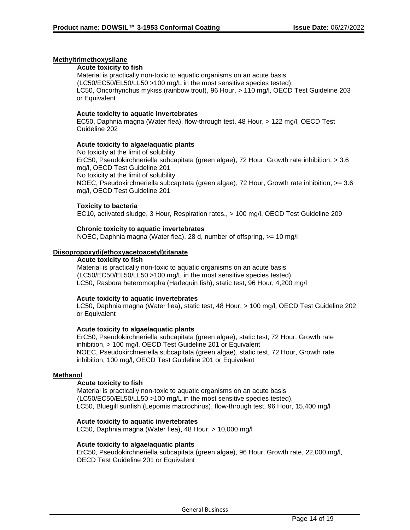### **Methyltrimethoxysilane**

#### **Acute toxicity to fish**

Material is practically non-toxic to aquatic organisms on an acute basis (LC50/EC50/EL50/LL50 >100 mg/L in the most sensitive species tested). LC50, Oncorhynchus mykiss (rainbow trout), 96 Hour, > 110 mg/l, OECD Test Guideline 203 or Equivalent

#### **Acute toxicity to aquatic invertebrates**

EC50, Daphnia magna (Water flea), flow-through test, 48 Hour, > 122 mg/l, OECD Test Guideline 202

#### **Acute toxicity to algae/aquatic plants**

No toxicity at the limit of solubility ErC50, Pseudokirchneriella subcapitata (green algae), 72 Hour, Growth rate inhibition, > 3.6 mg/l, OECD Test Guideline 201 No toxicity at the limit of solubility NOEC, Pseudokirchneriella subcapitata (green algae), 72 Hour, Growth rate inhibition, >= 3.6 mg/l, OECD Test Guideline 201

#### **Toxicity to bacteria**

EC10, activated sludge, 3 Hour, Respiration rates., > 100 mg/l, OECD Test Guideline 209

#### **Chronic toxicity to aquatic invertebrates**

NOEC, Daphnia magna (Water flea), 28 d, number of offspring, >= 10 mg/l

#### **Diisopropoxydi(ethoxyacetoacetyl)titanate**

#### **Acute toxicity to fish**

Material is practically non-toxic to aquatic organisms on an acute basis (LC50/EC50/EL50/LL50 >100 mg/L in the most sensitive species tested). LC50, Rasbora heteromorpha (Harlequin fish), static test, 96 Hour, 4,200 mg/l

#### **Acute toxicity to aquatic invertebrates**

LC50, Daphnia magna (Water flea), static test, 48 Hour, > 100 mg/l, OECD Test Guideline 202 or Equivalent

#### **Acute toxicity to algae/aquatic plants**

ErC50, Pseudokirchneriella subcapitata (green algae), static test, 72 Hour, Growth rate inhibition, > 100 mg/l, OECD Test Guideline 201 or Equivalent NOEC, Pseudokirchneriella subcapitata (green algae), static test, 72 Hour, Growth rate inhibition, 100 mg/l, OECD Test Guideline 201 or Equivalent

#### **Methanol**

#### **Acute toxicity to fish**

Material is practically non-toxic to aquatic organisms on an acute basis (LC50/EC50/EL50/LL50 >100 mg/L in the most sensitive species tested). LC50, Bluegill sunfish (Lepomis macrochirus), flow-through test, 96 Hour, 15,400 mg/l

### **Acute toxicity to aquatic invertebrates**

LC50, Daphnia magna (Water flea), 48 Hour, > 10,000 mg/l

#### **Acute toxicity to algae/aquatic plants**

ErC50, Pseudokirchneriella subcapitata (green algae), 96 Hour, Growth rate, 22,000 mg/l, OECD Test Guideline 201 or Equivalent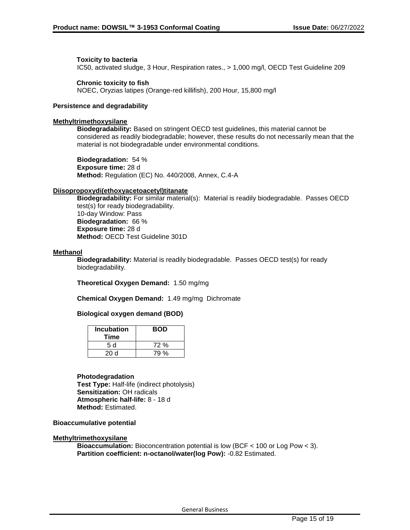## **Toxicity to bacteria**

IC50, activated sludge, 3 Hour, Respiration rates., > 1,000 mg/l, OECD Test Guideline 209

## **Chronic toxicity to fish**

NOEC, Oryzias latipes (Orange-red killifish), 200 Hour, 15,800 mg/l

### **Persistence and degradability**

## **Methyltrimethoxysilane**

**Biodegradability:** Based on stringent OECD test guidelines, this material cannot be considered as readily biodegradable; however, these results do not necessarily mean that the material is not biodegradable under environmental conditions.

**Biodegradation:** 54 % **Exposure time:** 28 d **Method:** Regulation (EC) No. 440/2008, Annex, C.4-A

### **Diisopropoxydi(ethoxyacetoacetyl)titanate**

**Biodegradability:** For similar material(s): Material is readily biodegradable. Passes OECD test(s) for ready biodegradability. 10-day Window: Pass **Biodegradation:** 66 % **Exposure time:** 28 d **Method:** OECD Test Guideline 301D

## **Methanol**

**Biodegradability:** Material is readily biodegradable. Passes OECD test(s) for ready biodegradability.

**Theoretical Oxygen Demand:** 1.50 mg/mg

**Chemical Oxygen Demand:** 1.49 mg/mg Dichromate

## **Biological oxygen demand (BOD)**

| <b>Incubation</b><br>Time | <b>BOD</b> |
|---------------------------|------------|
| 5 d                       | 72%        |
| 20d                       | 79 %       |

#### **Photodegradation**

**Test Type:** Half-life (indirect photolysis) **Sensitization:** OH radicals **Atmospheric half-life:** 8 - 18 d **Method:** Estimated.

**Bioaccumulative potential**

### **Methyltrimethoxysilane**

**Bioaccumulation:** Bioconcentration potential is low (BCF < 100 or Log Pow < 3). **Partition coefficient: n-octanol/water(log Pow):** -0.82 Estimated.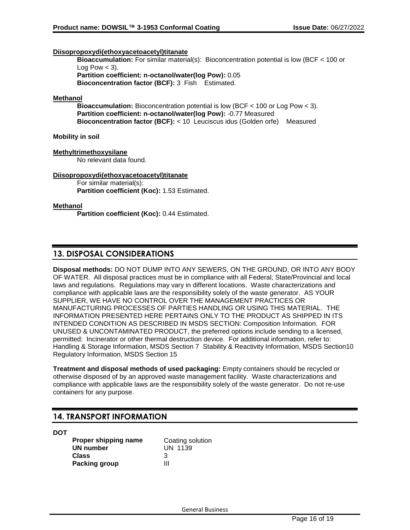## **Diisopropoxydi(ethoxyacetoacetyl)titanate**

**Bioaccumulation:** For similar material(s): Bioconcentration potential is low (BCF < 100 or Log Pow  $<$  3). **Partition coefficient: n-octanol/water(log Pow):** 0.05 **Bioconcentration factor (BCF):** 3 Fish Estimated.

### **Methanol**

**Bioaccumulation:** Bioconcentration potential is low (BCF < 100 or Log Pow < 3). **Partition coefficient: n-octanol/water(log Pow):** -0.77 Measured **Bioconcentration factor (BCF):** < 10 Leuciscus idus (Golden orfe) Measured

## **Mobility in soil**

## **Methyltrimethoxysilane**

No relevant data found.

### **Diisopropoxydi(ethoxyacetoacetyl)titanate**

For similar material(s): **Partition coefficient (Koc):** 1.53 Estimated.

## **Methanol**

**Partition coefficient (Koc):** 0.44 Estimated.

## **13. DISPOSAL CONSIDERATIONS**

**Disposal methods:** DO NOT DUMP INTO ANY SEWERS, ON THE GROUND, OR INTO ANY BODY OF WATER. All disposal practices must be in compliance with all Federal, State/Provincial and local laws and regulations. Regulations may vary in different locations. Waste characterizations and compliance with applicable laws are the responsibility solely of the waste generator. AS YOUR SUPPLIER, WE HAVE NO CONTROL OVER THE MANAGEMENT PRACTICES OR MANUFACTURING PROCESSES OF PARTIES HANDLING OR USING THIS MATERIAL. THE INFORMATION PRESENTED HERE PERTAINS ONLY TO THE PRODUCT AS SHIPPED IN ITS INTENDED CONDITION AS DESCRIBED IN MSDS SECTION: Composition Information. FOR UNUSED & UNCONTAMINATED PRODUCT, the preferred options include sending to a licensed, permitted: Incinerator or other thermal destruction device. For additional information, refer to: Handling & Storage Information, MSDS Section 7 Stability & Reactivity Information, MSDS Section10 Regulatory Information, MSDS Section 15

**Treatment and disposal methods of used packaging:** Empty containers should be recycled or otherwise disposed of by an approved waste management facility. Waste characterizations and compliance with applicable laws are the responsibility solely of the waste generator. Do not re-use containers for any purpose.

## **14. TRANSPORT INFORMATION**

**DOT**

**Proper shipping name** Coating solution **UN number** UN 1139 **Class** 3 **Packing group III**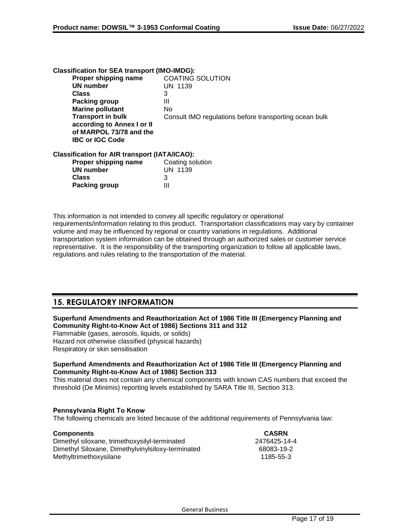| <b>Classification for SEA transport (IMO-IMDG):</b>  |                                                        |
|------------------------------------------------------|--------------------------------------------------------|
| Proper shipping name                                 | <b>COATING SOLUTION</b>                                |
| <b>UN number</b>                                     | UN 1139                                                |
| <b>Class</b>                                         | 3                                                      |
| <b>Packing group</b>                                 | Ш                                                      |
| <b>Marine pollutant</b>                              | No                                                     |
| <b>Transport in bulk</b>                             | Consult IMO regulations before transporting ocean bulk |
| according to Annex I or II                           |                                                        |
| of MARPOL 73/78 and the                              |                                                        |
| <b>IBC or IGC Code</b>                               |                                                        |
| <b>Classification for AIR transport (IATA/ICAO):</b> |                                                        |
| Proper shipping name                                 | Coating solution                                       |
| <b>UN number</b>                                     | <b>UN 1139</b>                                         |
| <b>Class</b>                                         | 3                                                      |
| Packing group                                        | Ш                                                      |
|                                                      |                                                        |

This information is not intended to convey all specific regulatory or operational requirements/information relating to this product. Transportation classifications may vary by container volume and may be influenced by regional or country variations in regulations. Additional transportation system information can be obtained through an authorized sales or customer service representative. It is the responsibility of the transporting organization to follow all applicable laws, regulations and rules relating to the transportation of the material.

## **15. REGULATORY INFORMATION**

## **Superfund Amendments and Reauthorization Act of 1986 Title III (Emergency Planning and Community Right-to-Know Act of 1986) Sections 311 and 312**

Flammable (gases, aerosols, liquids, or solids) Hazard not otherwise classified (physical hazards) Respiratory or skin sensitisation

### **Superfund Amendments and Reauthorization Act of 1986 Title III (Emergency Planning and Community Right-to-Know Act of 1986) Section 313**

This material does not contain any chemical components with known CAS numbers that exceed the threshold (De Minimis) reporting levels established by SARA Title III, Section 313.

## **Pennsylvania Right To Know**

The following chemicals are listed because of the additional requirements of Pennsylvania law:

| <b>Components</b>                                 | <b>CASRN</b> |
|---------------------------------------------------|--------------|
| Dimethyl siloxane, trimethoxysilyl-terminated     | 2476425-14-4 |
| Dimethyl Siloxane, Dimethylvinylsiloxy-terminated | 68083-19-2   |
| Methyltrimethoxysilane                            | 1185-55-3    |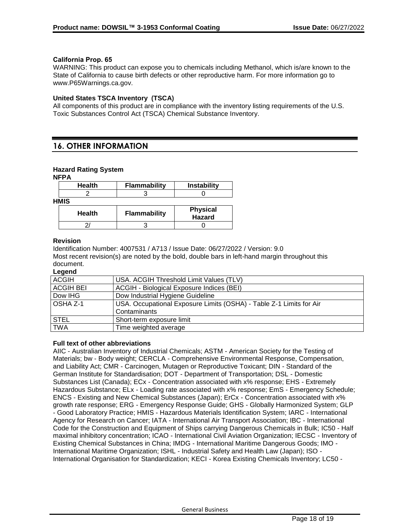## **California Prop. 65**

WARNING: This product can expose you to chemicals including Methanol, which is/are known to the State of California to cause birth defects or other reproductive harm. For more information go to www.P65Warnings.ca.gov.

## **United States TSCA Inventory (TSCA)**

All components of this product are in compliance with the inventory listing requirements of the U.S. Toxic Substances Control Act (TSCA) Chemical Substance Inventory.

## **16. OTHER INFORMATION**

## **Hazard Rating System**

#### **NFPA**

| <b>Health</b> | <b>Flammability</b> | <b>Instability</b>        |
|---------------|---------------------|---------------------------|
|               |                     |                           |
| <b>HMIS</b>   |                     |                           |
| <b>Health</b> | <b>Flammability</b> | <b>Physical</b><br>Hazard |
|               |                     |                           |

### **Revision**

Identification Number: 4007531 / A713 / Issue Date: 06/27/2022 / Version: 9.0 Most recent revision(s) are noted by the bold, double bars in left-hand margin throughout this document.

### **Legend**

| <b>ACGIH</b>     | USA. ACGIH Threshold Limit Values (TLV)                             |
|------------------|---------------------------------------------------------------------|
| <b>ACGIH BEI</b> | ACGIH - Biological Exposure Indices (BEI)                           |
| Dow IHG          | Dow Industrial Hygiene Guideline                                    |
| l OSHA Z-1       | USA. Occupational Exposure Limits (OSHA) - Table Z-1 Limits for Air |
|                  | Contaminants                                                        |
| <b>STEL</b>      | Short-term exposure limit                                           |
| <b>TWA</b>       | Time weighted average                                               |

### **Full text of other abbreviations**

AIIC - Australian Inventory of Industrial Chemicals; ASTM - American Society for the Testing of Materials; bw - Body weight; CERCLA - Comprehensive Environmental Response, Compensation, and Liability Act; CMR - Carcinogen, Mutagen or Reproductive Toxicant; DIN - Standard of the German Institute for Standardisation; DOT - Department of Transportation; DSL - Domestic Substances List (Canada); ECx - Concentration associated with x% response; EHS - Extremely Hazardous Substance; ELx - Loading rate associated with x% response; EmS - Emergency Schedule; ENCS - Existing and New Chemical Substances (Japan); ErCx - Concentration associated with x% growth rate response; ERG - Emergency Response Guide; GHS - Globally Harmonized System; GLP - Good Laboratory Practice; HMIS - Hazardous Materials Identification System; IARC - International Agency for Research on Cancer; IATA - International Air Transport Association; IBC - International Code for the Construction and Equipment of Ships carrying Dangerous Chemicals in Bulk; IC50 - Half maximal inhibitory concentration; ICAO - International Civil Aviation Organization; IECSC - Inventory of Existing Chemical Substances in China; IMDG - International Maritime Dangerous Goods; IMO - International Maritime Organization; ISHL - Industrial Safety and Health Law (Japan); ISO - International Organisation for Standardization; KECI - Korea Existing Chemicals Inventory; LC50 -